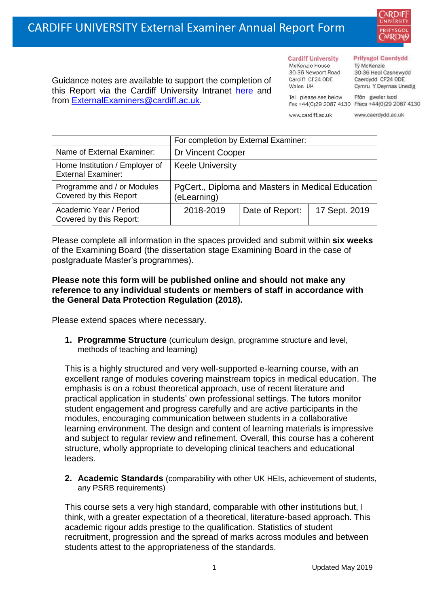

Guidance notes are available to support the completion of this Report via the Cardiff University Intranet [here](https://intranet.cardiff.ac.uk/staff/teaching-and-supporting-students/exams-and-assessment/exam-boards-and-external-examiners/for-current-external-examiners/external-examiners-reports) and from [ExternalExaminers@cardiff.ac.uk.](mailto:ExternalExaminers@cardiff.ac.uk)

**Cardiff University** McKenzie House 30-36 Newport Road Cardiff CF24 ODE

Wales UK

## **Prifysgol Caerdydd**

Từ McKenzie 30-36 Heol Casnewydd Caerdydd CF24 ODE Cymru Y Deyrnas Unedig

Ffôn gweler isod Fax +44(0)29 2087 4130 Ffacs +44(0)29 2087 4130

www.cardiff.ac.uk

Tel please see below

www.caerdydd.ac.uk

|                                                             | For completion by External Examiner:                             |                 |               |  |  |
|-------------------------------------------------------------|------------------------------------------------------------------|-----------------|---------------|--|--|
| Name of External Examiner:                                  | Dr Vincent Cooper                                                |                 |               |  |  |
| Home Institution / Employer of<br><b>External Examiner:</b> | <b>Keele University</b>                                          |                 |               |  |  |
| Programme and / or Modules<br>Covered by this Report        | PgCert., Diploma and Masters in Medical Education<br>(eLearning) |                 |               |  |  |
| Academic Year / Period<br>Covered by this Report:           | 2018-2019                                                        | Date of Report: | 17 Sept. 2019 |  |  |

Please complete all information in the spaces provided and submit within **six weeks** of the Examining Board (the dissertation stage Examining Board in the case of postgraduate Master's programmes).

## **Please note this form will be published online and should not make any reference to any individual students or members of staff in accordance with the General Data Protection Regulation (2018).**

Please extend spaces where necessary.

**1. Programme Structure** (curriculum design, programme structure and level, methods of teaching and learning)

This is a highly structured and very well-supported e-learning course, with an excellent range of modules covering mainstream topics in medical education. The emphasis is on a robust theoretical approach, use of recent literature and practical application in students' own professional settings. The tutors monitor student engagement and progress carefully and are active participants in the modules, encouraging communication between students in a collaborative learning environment. The design and content of learning materials is impressive and subject to regular review and refinement. Overall, this course has a coherent structure, wholly appropriate to developing clinical teachers and educational leaders.

**2. Academic Standards** (comparability with other UK HEIs, achievement of students, any PSRB requirements)

This course sets a very high standard, comparable with other institutions but, I think, with a greater expectation of a theoretical, literature-based approach. This academic rigour adds prestige to the qualification. Statistics of student recruitment, progression and the spread of marks across modules and between students attest to the appropriateness of the standards.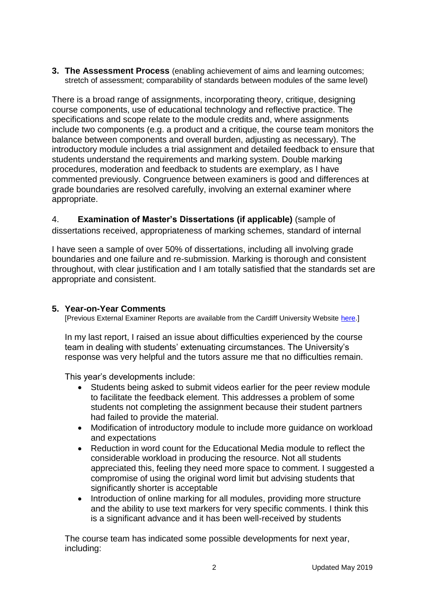**3. The Assessment Process** (enabling achievement of aims and learning outcomes; stretch of assessment; comparability of standards between modules of the same level)

There is a broad range of assignments, incorporating theory, critique, designing course components, use of educational technology and reflective practice. The specifications and scope relate to the module credits and, where assignments include two components (e.g. a product and a critique, the course team monitors the balance between components and overall burden, adjusting as necessary). The introductory module includes a trial assignment and detailed feedback to ensure that students understand the requirements and marking system. Double marking procedures, moderation and feedback to students are exemplary, as I have commented previously. Congruence between examiners is good and differences at grade boundaries are resolved carefully, involving an external examiner where appropriate.

4. **Examination of Master's Dissertations (if applicable)** (sample of dissertations received, appropriateness of marking schemes, standard of internal

I have seen a sample of over 50% of dissertations, including all involving grade boundaries and one failure and re-submission. Marking is thorough and consistent throughout, with clear justification and I am totally satisfied that the standards set are appropriate and consistent.

## **5. Year-on-Year Comments**

[Previous External Examiner Reports are available from the Cardiff University Website [here.](https://www.cardiff.ac.uk/public-information/quality-and-standards/external-examiner-reports)]

In my last report, I raised an issue about difficulties experienced by the course team in dealing with students' extenuating circumstances. The University's response was very helpful and the tutors assure me that no difficulties remain.

This year's developments include:

- Students being asked to submit videos earlier for the peer review module to facilitate the feedback element. This addresses a problem of some students not completing the assignment because their student partners had failed to provide the material.
- Modification of introductory module to include more guidance on workload and expectations
- Reduction in word count for the Educational Media module to reflect the considerable workload in producing the resource. Not all students appreciated this, feeling they need more space to comment. I suggested a compromise of using the original word limit but advising students that significantly shorter is acceptable
- Introduction of online marking for all modules, providing more structure and the ability to use text markers for very specific comments. I think this is a significant advance and it has been well-received by students

The course team has indicated some possible developments for next year, including: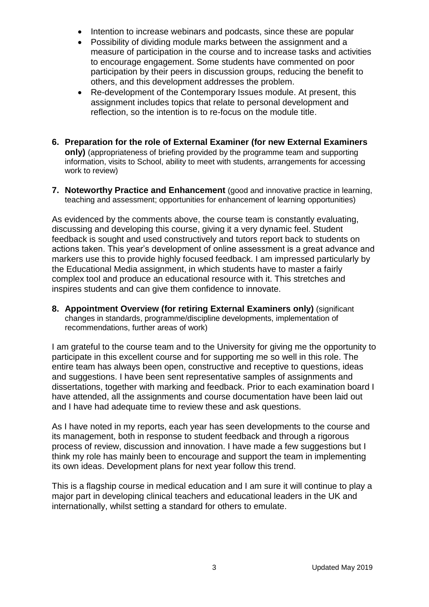- Intention to increase webinars and podcasts, since these are popular
- Possibility of dividing module marks between the assignment and a measure of participation in the course and to increase tasks and activities to encourage engagement. Some students have commented on poor participation by their peers in discussion groups, reducing the benefit to others, and this development addresses the problem.
- Re-development of the Contemporary Issues module. At present, this assignment includes topics that relate to personal development and reflection, so the intention is to re-focus on the module title.
- **6. Preparation for the role of External Examiner (for new External Examiners only)** (appropriateness of briefing provided by the programme team and supporting information, visits to School, ability to meet with students, arrangements for accessing work to review)
- **7. Noteworthy Practice and Enhancement** (good and innovative practice in learning, teaching and assessment; opportunities for enhancement of learning opportunities)

As evidenced by the comments above, the course team is constantly evaluating, discussing and developing this course, giving it a very dynamic feel. Student feedback is sought and used constructively and tutors report back to students on actions taken. This year's development of online assessment is a great advance and markers use this to provide highly focused feedback. I am impressed particularly by the Educational Media assignment, in which students have to master a fairly complex tool and produce an educational resource with it. This stretches and inspires students and can give them confidence to innovate.

**8. Appointment Overview (for retiring External Examiners only)** (significant changes in standards, programme/discipline developments, implementation of recommendations, further areas of work)

I am grateful to the course team and to the University for giving me the opportunity to participate in this excellent course and for supporting me so well in this role. The entire team has always been open, constructive and receptive to questions, ideas and suggestions. I have been sent representative samples of assignments and dissertations, together with marking and feedback. Prior to each examination board I have attended, all the assignments and course documentation have been laid out and I have had adequate time to review these and ask questions.

As I have noted in my reports, each year has seen developments to the course and its management, both in response to student feedback and through a rigorous process of review, discussion and innovation. I have made a few suggestions but I think my role has mainly been to encourage and support the team in implementing its own ideas. Development plans for next year follow this trend.

This is a flagship course in medical education and I am sure it will continue to play a major part in developing clinical teachers and educational leaders in the UK and internationally, whilst setting a standard for others to emulate.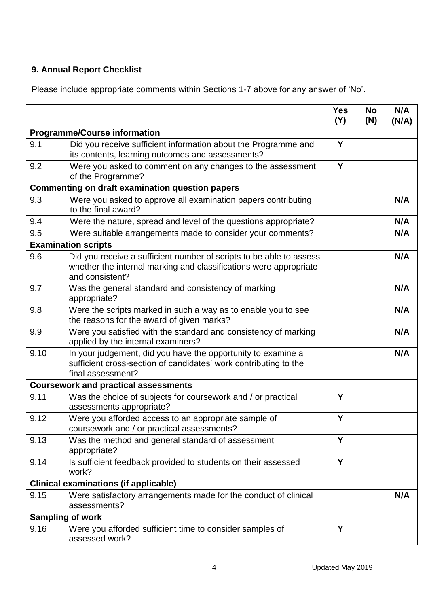## **9. Annual Report Checklist**

Please include appropriate comments within Sections 1-7 above for any answer of 'No'.

|                                                        |                                                                                                                                                             | <b>Yes</b><br>(Y) | <b>No</b><br>(N) | N/A<br>(N/A) |
|--------------------------------------------------------|-------------------------------------------------------------------------------------------------------------------------------------------------------------|-------------------|------------------|--------------|
| <b>Programme/Course information</b>                    |                                                                                                                                                             |                   |                  |              |
| 9.1                                                    | Did you receive sufficient information about the Programme and<br>its contents, learning outcomes and assessments?                                          | Y                 |                  |              |
| 9.2                                                    | Were you asked to comment on any changes to the assessment<br>of the Programme?                                                                             | Y                 |                  |              |
| <b>Commenting on draft examination question papers</b> |                                                                                                                                                             |                   |                  |              |
| 9.3                                                    | Were you asked to approve all examination papers contributing<br>to the final award?                                                                        |                   |                  | N/A          |
| 9.4                                                    | Were the nature, spread and level of the questions appropriate?                                                                                             |                   |                  | N/A          |
| 9.5                                                    | Were suitable arrangements made to consider your comments?                                                                                                  |                   |                  | N/A          |
| <b>Examination scripts</b>                             |                                                                                                                                                             |                   |                  |              |
| 9.6                                                    | Did you receive a sufficient number of scripts to be able to assess<br>whether the internal marking and classifications were appropriate<br>and consistent? |                   |                  | N/A          |
| 9.7                                                    | Was the general standard and consistency of marking<br>appropriate?                                                                                         |                   |                  | N/A          |
| 9.8                                                    | Were the scripts marked in such a way as to enable you to see<br>the reasons for the award of given marks?                                                  |                   |                  | N/A          |
| 9.9                                                    | Were you satisfied with the standard and consistency of marking<br>applied by the internal examiners?                                                       |                   |                  | N/A          |
| 9.10                                                   | In your judgement, did you have the opportunity to examine a<br>sufficient cross-section of candidates' work contributing to the<br>final assessment?       |                   |                  | N/A          |
| <b>Coursework and practical assessments</b>            |                                                                                                                                                             |                   |                  |              |
| 9.11                                                   | Was the choice of subjects for coursework and / or practical<br>assessments appropriate?                                                                    | Y                 |                  |              |
| 9.12                                                   | Were you afforded access to an appropriate sample of<br>coursework and / or practical assessments?                                                          | Y                 |                  |              |
| 9.13                                                   | Was the method and general standard of assessment<br>appropriate?                                                                                           | Y                 |                  |              |
| 9.14                                                   | Is sufficient feedback provided to students on their assessed<br>work?                                                                                      | Y                 |                  |              |
| <b>Clinical examinations (if applicable)</b>           |                                                                                                                                                             |                   |                  |              |
| 9.15                                                   | Were satisfactory arrangements made for the conduct of clinical<br>assessments?                                                                             |                   |                  | N/A          |
| <b>Sampling of work</b>                                |                                                                                                                                                             |                   |                  |              |
| 9.16                                                   | Were you afforded sufficient time to consider samples of<br>assessed work?                                                                                  | Y                 |                  |              |